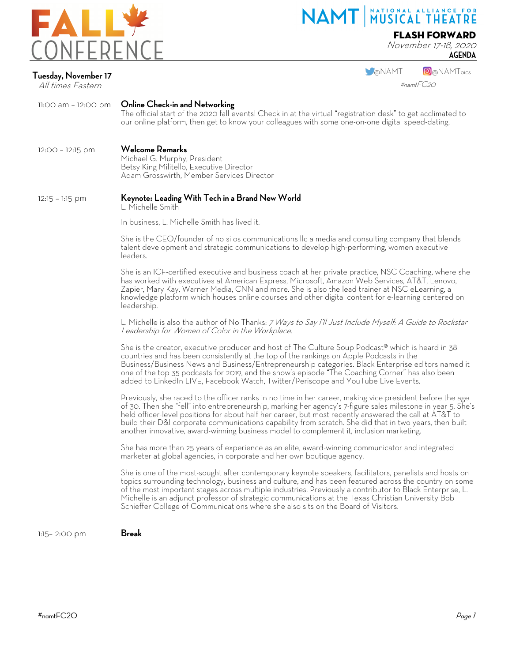

## NAMT MUSICAL THEATRE

### FLASH FORWARD

November 17-18, 2020 **AGENDA**



All times Eastern

**M**@NAMT<sub>pics</sub>  $#namt<sub>F</sub>C<sub>2</sub>O$ 

| All times Eastern   | #namir UzU                                                                                                                                                                                                                                                                                                                                                                                                                                                                                                                                |
|---------------------|-------------------------------------------------------------------------------------------------------------------------------------------------------------------------------------------------------------------------------------------------------------------------------------------------------------------------------------------------------------------------------------------------------------------------------------------------------------------------------------------------------------------------------------------|
| 11:00 am - 12:00 pm | Online Check-in and Networking<br>The official start of the 2020 fall events! Check in at the virtual "registration desk" to get acclimated to<br>our online platform, then get to know your colleagues with some one-on-one digital speed-dating.                                                                                                                                                                                                                                                                                        |
| 12:00 - 12:15 pm    | <b>Welcome Remarks</b><br>Michael G. Murphy, President<br>Betsy King Militello, Executive Director<br>Adam Grosswirth, Member Services Director                                                                                                                                                                                                                                                                                                                                                                                           |
| $12:15 - 1:15$ pm   | Keynote: Leading With Tech in a Brand New World<br>L. Michelle Smith                                                                                                                                                                                                                                                                                                                                                                                                                                                                      |
|                     | In business, L. Michelle Smith has lived it.                                                                                                                                                                                                                                                                                                                                                                                                                                                                                              |
|                     | She is the CEO/founder of no silos communications IIc a media and consulting company that blends<br>talent development and strategic communications to develop high-performing, women executive<br>leaders.                                                                                                                                                                                                                                                                                                                               |
|                     | She is an ICF-certified executive and business coach at her private practice, NSC Coaching, where she<br>has worked with executives at American Express, Microsoft, Amazon Web Services, AT&T, Lenovo,<br>Zapier, Mary Kay, Warner Media, CNN and more. She is also the lead trainer at NSC eLearning, a<br>knowledge platform which houses online courses and other digital content for e-learning centered on<br>leadership.                                                                                                            |
|                     | L. Michelle is also the author of No Thanks: 7 Ways to Say I'll Just Include Myself: A Guide to Rockstar<br>Leadership for Women of Color in the Workplace.                                                                                                                                                                                                                                                                                                                                                                               |
|                     | She is the creator, executive producer and host of The Culture Soup Podcast® which is heard in 38<br>countries and has been consistently at the top of the rankings on Apple Podcasts in the<br>Business/Business News and Business/Entrepreneurship categories. Black Enterprise editors named it<br>one of the top 35 podcasts for 2019, and the show's episode "The Coaching Corner" has also been<br>added to LinkedIn LIVE, Facebook Watch, Twitter/Periscope and YouTube Live Events.                                               |
|                     | Previously, she raced to the officer ranks in no time in her career, making vice president before the age<br>of 30. Then she "fell" into entrepreneurship, marking her agency's 7-figure sales milestone in year 5. She's<br>held officer-level positions for about half her career, but most recently answered the call at AT&T to<br>build their D&I corporate communications capability from scratch. She did that in two years, then built<br>another innovative, award-winning business model to complement it, inclusion marketing. |
|                     | She has more than 25 years of experience as an elite, award-winning communicator and integrated<br>marketer at global agencies, in corporate and her own boutique agency.                                                                                                                                                                                                                                                                                                                                                                 |
|                     | She is one of the most-sought after contemporary keynote speakers, facilitators, panelists and hosts on<br>topics surrounding technology, business and culture, and has been featured across the country on some<br>of the most important stages across multiple industries. Previously a contributor to Black Enterprise, L.<br>Michelle is an adjunct professor of strategic communications at the Texas Christian University Bob<br>Schieffer College of Communications where she also sits on the Board of Visitors.                  |
|                     |                                                                                                                                                                                                                                                                                                                                                                                                                                                                                                                                           |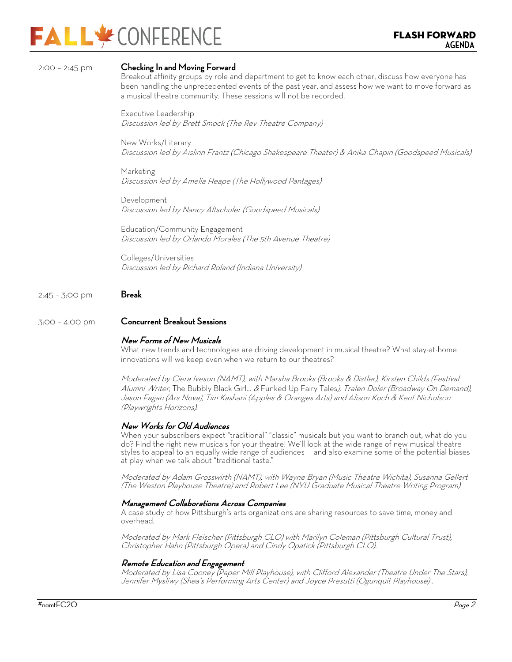## **FALLY** CONFERENCE

#### 2:00 – 2:45 pm **Checking In and Moving Forward**

Breakout affinity groups by role and department to get to know each other, discuss how everyone has been handling the unprecedented events of the past year, and assess how we want to move forward as a musical theatre community. These sessions will not be recorded.

Executive Leadership Discussion led by Brett Smock (The Rev Theatre Company)

New Works/Literary Discussion led by Aislinn Frantz (Chicago Shakespeare Theater) & Anika Chapin (Goodspeed Musicals)

Marketing Discussion led by Amelia Heape (The Hollywood Pantages)

Development Discussion led by Nancy Altschuler (Goodspeed Musicals)

Education/Community Engagement Discussion led by Orlando Morales (The 5th Avenue Theatre)

Colleges/Universities Discussion led by Richard Roland (Indiana University)

#### 2:45 – 3:00 pm **Break**

#### 3:00 – 4:00 pm **Concurrent Breakout Sessions**

#### **New Forms of New Musicals**

What new trends and technologies are driving development in musical theatre? What stay-at-home innovations will we keep even when we return to our theatres?

Moderated by Ciera Iveson (NAMT), with Marsha Brooks (Brooks & Distler), Kirsten Childs (Festival Alumni Writer, The Bubbly Black Girl... & Funked Up Fairy Tales), Tralen Doler (Broadway On Demand), Jason Eagan (Ars Nova), Tim Kashani (Apples & Oranges Arts) and Alison Koch & Kent Nicholson (Playwrights Horizons).

#### **New Works for Old Audiences**

When your subscribers expect "traditional" "classic" musicals but you want to branch out, what do you do? Find the right new musicals for your theatre! We'll look at the wide range of new musical theatre styles to appeal to an equally wide range of audiences — and also examine some of the potential biases at play when we talk about "traditional taste."

Moderated by Adam Grosswirth (NAMT), with Wayne Bryan (Music Theatre Wichita), Susanna Gellert (The Weston Playhouse Theatre) and Robert Lee (NYU Graduate Musical Theatre Writing Program)

#### **Management Collaborations Across Companies**

A case study of how Pittsburgh's arts organizations are sharing resources to save time, money and overhead.

Moderated by Mark Fleischer (Pittsburgh CLO) with Marilyn Coleman (Pittsburgh Cultural Trust), Christopher Hahn (Pittsburgh Opera) and Cindy Opatick (Pittsburgh CLO).

#### **Remote Education and Engagement**

Moderated by Lisa Cooney (Paper Mill Playhouse), with Clifford Alexander (Theatre Under The Stars), Jennifer Mysliwy (Shea's Performing Arts Center) and Joyce Presutti (Ogunquit Playhouse) .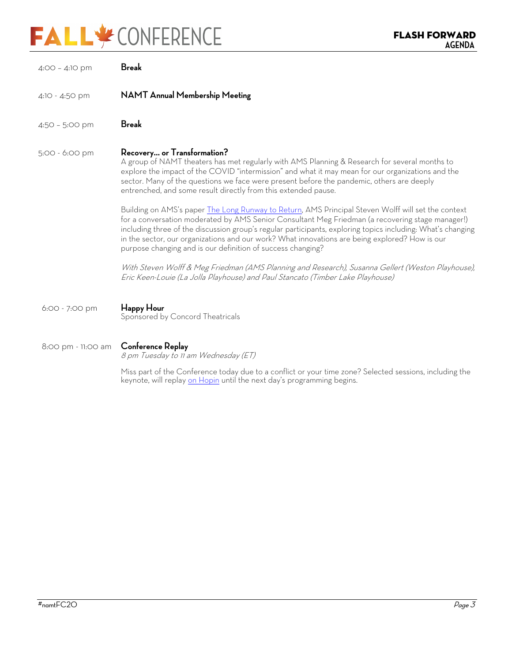# **FALLY** CONFERENCE

| $4:00 - 4:10$ pm                     | <b>Break</b>                                                                                                                                                                                                                                                                                                                                                                                                                                                                           |
|--------------------------------------|----------------------------------------------------------------------------------------------------------------------------------------------------------------------------------------------------------------------------------------------------------------------------------------------------------------------------------------------------------------------------------------------------------------------------------------------------------------------------------------|
| 4:10 - 4:50 pm                       | <b>NAMT</b> Annual Membership Meeting                                                                                                                                                                                                                                                                                                                                                                                                                                                  |
| 4:50 - 5:00 pm                       | <b>Break</b>                                                                                                                                                                                                                                                                                                                                                                                                                                                                           |
| 5:00 - 6:00 pm                       | Recovery or Transformation?<br>A group of NAMT theaters has met regularly with AMS Planning & Research for several months to<br>explore the impact of the COVID "intermission" and what it may mean for our organizations and the<br>sector. Many of the questions we face were present before the pandemic, others are deeply<br>entrenched, and some result directly from this extended pause.                                                                                       |
|                                      | Building on AMS's paper The Long Runway to Return, AMS Principal Steven Wolff will set the context<br>for a conversation moderated by AMS Senior Consultant Meg Friedman (a recovering stage manager!)<br>including three of the discussion group's regular participants, exploring topics including: What's changing<br>in the sector, our organizations and our work? What innovations are being explored? How is our<br>purpose changing and is our definition of success changing? |
|                                      | With Steven Wolff & Meg Friedman (AMS Planning and Research), Susanna Gellert (Weston Playhouse),<br>Eric Keen-Louie (La Jolla Playhouse) and Paul Stancato (Timber Lake Playhouse)                                                                                                                                                                                                                                                                                                    |
| 6:00 - 7:00 pm                       | Happy Hour<br>Sponsored by Concord Theatricals                                                                                                                                                                                                                                                                                                                                                                                                                                         |
| 8:00 pm - 11:00 am Conference Replay | 141 l l l T T                                                                                                                                                                                                                                                                                                                                                                                                                                                                          |

8 pm Tuesday to 11 am Wednesday (ET)

Miss part of the Conference today due to a conflict or your time zone? Selected sessions, including the keynote, will replay <u>on Hopin</u> until the next day's programming begins.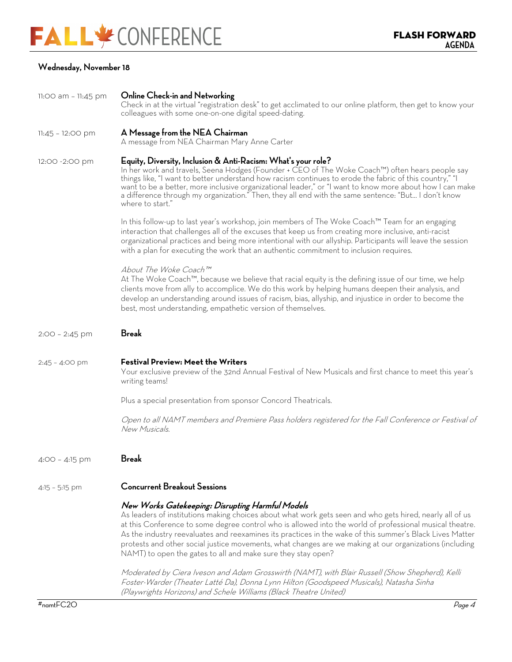### **Wednesday, November 18**

| 11:00 am - 11:45 pm | Online Check-in and Networking<br>Check in at the virtual "registration desk" to get acclimated to our online platform, then get to know your<br>colleagues with some one-on-one digital speed-dating.                                                                                                                                                                                                                                                                                                                                                          |
|---------------------|-----------------------------------------------------------------------------------------------------------------------------------------------------------------------------------------------------------------------------------------------------------------------------------------------------------------------------------------------------------------------------------------------------------------------------------------------------------------------------------------------------------------------------------------------------------------|
| 11:45 - 12:00 pm    | A Message from the NEA Chairman<br>A message from NEA Chairman Mary Anne Carter                                                                                                                                                                                                                                                                                                                                                                                                                                                                                 |
| 12:00 -2:00 pm      | Equity, Diversity, Inclusion & Anti-Racism: What's your role?<br>In her work and travels, Seena Hodges (Founder + CEO of The Woke Coach™) often hears people say<br>things like, "I want to better understand how racism continues to erode the fabric of this country," "I<br>want to be a better, more inclusive organizational leader," or "I want to know more about how I can make<br>a difference through my organization." Then, they all end with the same sentence: "But I don't know<br>where to start."                                              |
|                     | In this follow-up to last year's workshop, join members of The Woke Coach™ Team for an engaging<br>interaction that challenges all of the excuses that keep us from creating more inclusive, anti-racist<br>organizational practices and being more intentional with our allyship. Participants will leave the session<br>with a plan for executing the work that an authentic commitment to inclusion requires.                                                                                                                                                |
|                     | About The Woke Coach™<br>At The Woke Coach™, because we believe that racial equity is the defining issue of our time, we help<br>clients move from ally to accomplice. We do this work by helping humans deepen their analysis, and<br>develop an understanding around issues of racism, bias, allyship, and injustice in order to become the<br>best, most understanding, empathetic version of themselves.                                                                                                                                                    |
| 2:00 - 2:45 pm      | <b>Break</b>                                                                                                                                                                                                                                                                                                                                                                                                                                                                                                                                                    |
| $2:45 - 4:00$ pm    | <b>Festival Preview: Meet the Writers</b><br>Your exclusive preview of the 32nd Annual Festival of New Musicals and first chance to meet this year's<br>writing teams!                                                                                                                                                                                                                                                                                                                                                                                          |
|                     | Plus a special presentation from sponsor Concord Theatricals.                                                                                                                                                                                                                                                                                                                                                                                                                                                                                                   |
|                     | Open to all NAMT members and Premiere Pass holders registered for the Fall Conference or Festival of<br>New Musicals.                                                                                                                                                                                                                                                                                                                                                                                                                                           |
| 4:00 - 4:15 pm      | <b>Break</b>                                                                                                                                                                                                                                                                                                                                                                                                                                                                                                                                                    |
| $4:15 - 5:15$ pm    | <b>Concurrent Breakout Sessions</b>                                                                                                                                                                                                                                                                                                                                                                                                                                                                                                                             |
|                     | New Works Gatekeeping: Disrupting Harmful Models<br>As leaders of institutions making choices about what work gets seen and who gets hired, nearly all of us<br>at this Conference to some degree control who is allowed into the world of professional musical theatre.<br>As the industry reevaluates and reexamines its practices in the wake of this summer's Black Lives Matter<br>protests and other social justice movements, what changes are we making at our organizations (including<br>NAMT) to open the gates to all and make sure they stay open? |
|                     | Moderated by Ciera Iveson and Adam Grosswirth (NAMT), with Blair Russell (Show Shepherd), Kelli<br>Foster-Warder (Theater Latté Da), Donna Lynn Hilton (Goodspeed Musicals), Natasha Sinha<br>(Playwrights Horizons) and Schele Williams (Black Theatre United)                                                                                                                                                                                                                                                                                                 |
| $#$ namt $FC2O$     | Page 4                                                                                                                                                                                                                                                                                                                                                                                                                                                                                                                                                          |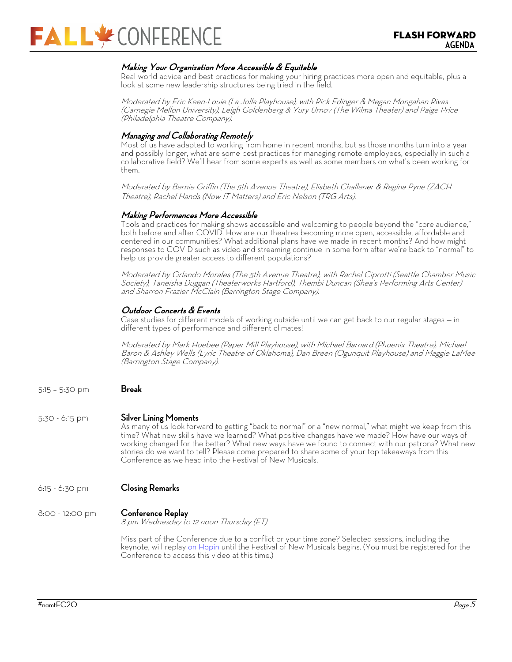#### **Making Your Organization More Accessible & Equitable**

Real-world advice and best practices for making your hiring practices more open and equitable, plus a look at some new leadership structures being tried in the field.

Moderated by Eric Keen-Louie (La Jolla Playhouse), with Rick Edinger & Megan Mongahan Rivas (Carnegie Mellon University), Leigh Goldenberg & Yury Urnov (The Wilma Theater) and Paige Price (Philadelphia Theatre Company).

#### **Managing and Collaborating Remotely**

Most of us have adapted to working from home in recent months, but as those months turn into a year and possibly longer, what are some best practices for managing remote employees, especially in such a collaborative field? We'll hear from some experts as well as some members on what's been working for them.

Moderated by Bernie Griffin (The 5th Avenue Theatre), Elisbeth Challener & Regina Pyne (ZACH Theatre), Rachel Hands (Now IT Matters) and Eric Nelson (TRG Arts).

#### **Making Performances More Accessible**

Tools and practices for making shows accessible and welcoming to people beyond the "core audience," both before and after COVID. How are our theatres becoming more open, accessible, affordable and centered in our communities? What additional plans have we made in recent months? And how might responses to COVID such as video and streaming continue in some form after we're back to "normal" to help us provide greater access to different populations?

Moderated by Orlando Morales (The 5th Avenue Theatre), with Rachel Ciprotti (Seattle Chamber Music Society), Taneisha Duggan (Theaterworks Hartford), Thembi Duncan (Shea's Performing Arts Center) and Sharron Frazier-McClain (Barrington Stage Company).

#### **Outdoor Concerts & Events**

Case studies for different models of working outside until we can get back to our regular stages — in different types of performance and different climates!

Moderated by Mark Hoebee (Paper Mill Playhouse), with Michael Barnard (Phoenix Theatre), Michael Baron & Ashley Wells (Lyric Theatre of Oklahoma), Dan Breen (Ogunquit Playhouse) and Maggie LaMee (Barrington Stage Company).

#### 5:15 – 5:30 pm **Break**

5:30 - 6:15 pm **Silver Lining Moments**

As many of us look forward to getting "back to normal" or a "new normal," what might we keep from this time? What new skills have we learned? What positive changes have we made? How have our ways of working changed for the better? What new ways have we found to connect with our patrons? What new<br>stories do we want to tell? Please come prepared to share some of your top takeaways from this Conference as we head into the Festival of New Musicals.

#### 6:15 - 6:30 pm **Closing Remarks**

#### 8:00 - 12:00 pm **Conference Replay**

8 pm Wednesday to 12 noon Thursday (ET)

Miss part of the Conference due to a conflict or your time zone? Selected sessions, including the keynote, will replay on Hopin until the Festival of New Musicals begins. (You must be registered for the Conference to access this video at this time.)